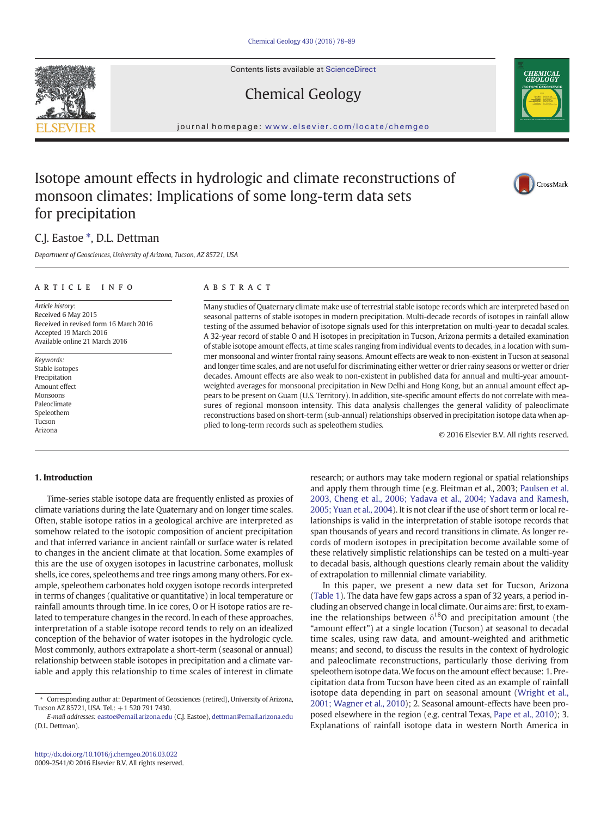Contents lists available at ScienceDirect

# Chemical Geology

journal homepage: <www.elsevier.com/locate/chemgeo>

# Isotope amount effects in hydrologic and climate reconstructions of monsoon climates: Implications of some long-term data sets for precipitation

## C.J. Eastoe  $*$ , D.L. Dettman

Department of Geosciences, University of Arizona, Tucson, AZ 85721, USA

#### article info abstract

Article history: Received 6 May 2015 Received in revised form 16 March 2016 Accepted 19 March 2016 Available online 21 March 2016

Keywords: Stable isotopes Precipitation Amount effect Monsoons Paleoclimate Speleothem Tucson Arizona

Many studies of Quaternary climate make use of terrestrial stable isotope records which are interpreted based on seasonal patterns of stable isotopes in modern precipitation. Multi-decade records of isotopes in rainfall allow testing of the assumed behavior of isotope signals used for this interpretation on multi-year to decadal scales. A 32-year record of stable O and H isotopes in precipitation in Tucson, Arizona permits a detailed examination of stable isotope amount effects, at time scales ranging from individual events to decades, in a location with summer monsoonal and winter frontal rainy seasons. Amount effects are weak to non-existent in Tucson at seasonal and longer time scales, and are not useful for discriminating either wetter or drier rainy seasons or wetter or drier decades. Amount effects are also weak to non-existent in published data for annual and multi-year amountweighted averages for monsoonal precipitation in New Delhi and Hong Kong, but an annual amount effect appears to be present on Guam (U.S. Territory). In addition, site-specific amount effects do not correlate with measures of regional monsoon intensity. This data analysis challenges the general validity of paleoclimate reconstructions based on short-term (sub-annual) relationships observed in precipitation isotope data when applied to long-term records such as speleothem studies.

© 2016 Elsevier B.V. All rights reserved.

### 1. Introduction

Time-series stable isotope data are frequently enlisted as proxies of climate variations during the late Quaternary and on longer time scales. Often, stable isotope ratios in a geological archive are interpreted as somehow related to the isotopic composition of ancient precipitation and that inferred variance in ancient rainfall or surface water is related to changes in the ancient climate at that location. Some examples of this are the use of oxygen isotopes in lacustrine carbonates, mollusk shells, ice cores, speleothems and tree rings among many others. For example, speleothem carbonates hold oxygen isotope records interpreted in terms of changes (qualitative or quantitative) in local temperature or rainfall amounts through time. In ice cores, O or H isotope ratios are related to temperature changes in the record. In each of these approaches, interpretation of a stable isotope record tends to rely on an idealized conception of the behavior of water isotopes in the hydrologic cycle. Most commonly, authors extrapolate a short-term (seasonal or annual) relationship between stable isotopes in precipitation and a climate variable and apply this relationship to time scales of interest in climate

research; or authors may take modern regional or spatial relationships and apply them through time (e.g. Fleitman et al., 2003; [Paulsen et al.](#page-10-0) [2003, Cheng et al., 2006; Yadava et al., 2004; Yadava and Ramesh,](#page-10-0) [2005; Yuan et al., 2004](#page-10-0)). It is not clear if the use of short term or local relationships is valid in the interpretation of stable isotope records that span thousands of years and record transitions in climate. As longer records of modern isotopes in precipitation become available some of these relatively simplistic relationships can be tested on a multi-year to decadal basis, although questions clearly remain about the validity of extrapolation to millennial climate variability.

In this paper, we present a new data set for Tucson, Arizona [\(Table 1\)](#page-2-0). The data have few gaps across a span of 32 years, a period including an observed change in local climate. Our aims are: first, to examine the relationships between  $\delta^{18}$ O and precipitation amount (the "amount effect") at a single location (Tucson) at seasonal to decadal time scales, using raw data, and amount-weighted and arithmetic means; and second, to discuss the results in the context of hydrologic and paleoclimate reconstructions, particularly those deriving from speleothem isotope data.We focus on the amount effect because: 1. Precipitation data from Tucson have been cited as an example of rainfall isotope data depending in part on seasonal amount [\(Wright et al.,](#page-11-0) [2001; Wagner et al., 2010\)](#page-11-0); 2. Seasonal amount-effects have been proposed elsewhere in the region (e.g. central Texas, [Pape et al., 2010](#page-10-0)); 3. Explanations of rainfall isotope data in western North America in







<sup>⁎</sup> Corresponding author at: Department of Geosciences (retired), University of Arizona, Tucson AZ 85721, USA. Tel.: +1 520 791 7430.

E-mail addresses: eastoe@email.arizona.edu (C.J. Eastoe), [dettman@email.arizona.edu](mailto:dettman@email.arizona.edu) (D.L. Dettman).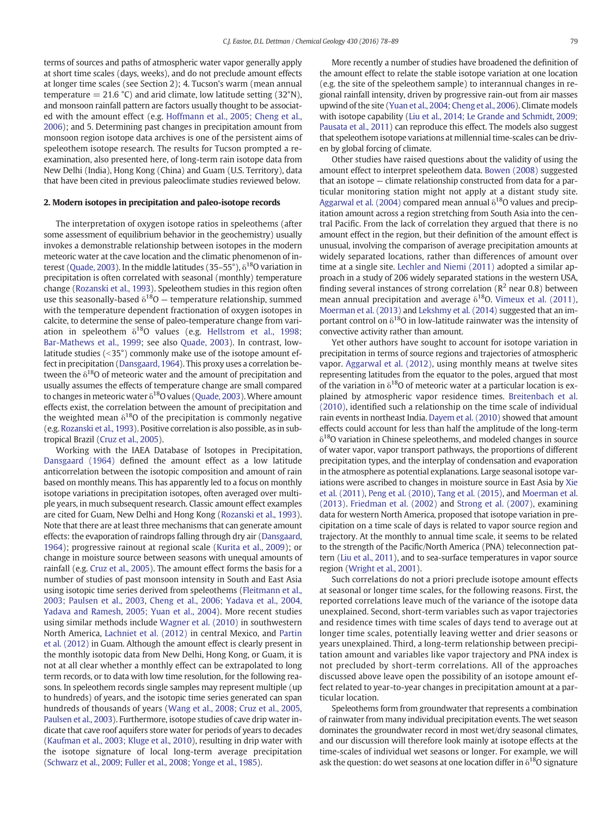terms of sources and paths of atmospheric water vapor generally apply at short time scales (days, weeks), and do not preclude amount effects at longer time scales (see Section 2); 4. Tucson's warm (mean annual temperature  $= 21.6 \degree C$ ) and arid climate, low latitude setting (32 $\degree$ N), and monsoon rainfall pattern are factors usually thought to be associated with the amount effect (e.g. [Hoffmann et al., 2005; Cheng et al.,](#page-10-0) [2006\)](#page-10-0); and 5. Determining past changes in precipitation amount from monsoon region isotope data archives is one of the persistent aims of speleothem isotope research. The results for Tucson prompted a reexamination, also presented here, of long-term rain isotope data from New Delhi (India), Hong Kong (China) and Guam (U.S. Territory), data that have been cited in previous paleoclimate studies reviewed below.

#### 2. Modern isotopes in precipitation and paleo-isotope records

The interpretation of oxygen isotope ratios in speleothems (after some assessment of equilibrium behavior in the geochemistry) usually invokes a demonstrable relationship between isotopes in the modern meteoric water at the cave location and the climatic phenomenon of in-terest [\(Quade, 2003\)](#page-10-0). In the middle latitudes (35–55°),  $\delta^{18}$ O variation in precipitation is often correlated with seasonal (monthly) temperature change ([Rozanski et al., 1993](#page-10-0)). Speleothem studies in this region often use this seasonally-based  $\delta^{18}O$  – temperature relationship, summed with the temperature dependent fractionation of oxygen isotopes in calcite, to determine the sense of paleo-temperature change from variation in speleothem  $\delta^{18}$ O values (e.g. [Hellstrom et al., 1998;](#page-10-0) [Bar-Mathews et al., 1999](#page-10-0); see also [Quade, 2003\)](#page-10-0). In contrast, lowlatitude studies  $($ <35 $^{\circ}$ ) commonly make use of the isotope amount effect in precipitation ([Dansgaard, 1964](#page-10-0)). This proxy uses a correlation between the  $\delta^{18}$ O of meteoric water and the amount of precipitation and usually assumes the effects of temperature change are small compared to changes in meteoric water  $\delta^{18}$ O values ([Quade, 2003\)](#page-10-0). Where amount effects exist, the correlation between the amount of precipitation and the weighted mean  $\delta^{18}O$  of the precipitation is commonly negative (e.g. [Rozanski et al., 1993\)](#page-10-0). Positive correlation is also possible, as in subtropical Brazil [\(Cruz et al., 2005](#page-10-0)).

Working with the IAEA Database of Isotopes in Precipitation, [Dansgaard \(1964\)](#page-10-0) defined the amount effect as a low latitude anticorrelation between the isotopic composition and amount of rain based on monthly means. This has apparently led to a focus on monthly isotope variations in precipitation isotopes, often averaged over multiple years, in much subsequent research. Classic amount effect examples are cited for Guam, New Delhi and Hong Kong ([Rozanski et al., 1993](#page-10-0)). Note that there are at least three mechanisms that can generate amount effects: the evaporation of raindrops falling through dry air [\(Dansgaard,](#page-10-0) [1964\)](#page-10-0); progressive rainout at regional scale ([Kurita et al., 2009\)](#page-10-0); or change in moisture source between seasons with unequal amounts of rainfall (e.g. [Cruz et al., 2005](#page-10-0)). The amount effect forms the basis for a number of studies of past monsoon intensity in South and East Asia using isotopic time series derived from speleothems [\(Fleitmann et al.,](#page-10-0) [2003; Paulsen et al., 2003,](#page-10-0) [Cheng et al., 2006; Yadava et al., 2004,](#page-10-0) [Yadava and Ramesh, 2005; Yuan et al., 2004](#page-10-0)). More recent studies using similar methods include [Wagner et al. \(2010\)](#page-11-0) in southwestern North America, [Lachniet et al. \(2012\)](#page-10-0) in central Mexico, and [Partin](#page-10-0) [et al. \(2012\)](#page-10-0) in Guam. Although the amount effect is clearly present in the monthly isotopic data from New Delhi, Hong Kong, or Guam, it is not at all clear whether a monthly effect can be extrapolated to long term records, or to data with low time resolution, for the following reasons. In speleothem records single samples may represent multiple (up to hundreds) of years, and the isotopic time series generated can span hundreds of thousands of years ([Wang et al., 2008; Cruz et al., 2005,](#page-11-0) [Paulsen et al., 2003](#page-11-0)). Furthermore, isotope studies of cave drip water indicate that cave roof aquifers store water for periods of years to decades [\(Kaufman et al., 2003; Kluge et al., 2010](#page-10-0)), resulting in drip water with the isotope signature of local long-term average precipitation [\(Schwarz et al., 2009; Fuller et al., 2008; Yonge et al., 1985\)](#page-11-0).

More recently a number of studies have broadened the definition of the amount effect to relate the stable isotope variation at one location (e.g. the site of the speleothem sample) to interannual changes in regional rainfall intensity, driven by progressive rain-out from air masses upwind of the site [\(Yuan et al., 2004; Cheng et al., 2006](#page-11-0)). Climate models with isotope capability [\(Liu et al., 2014; Le Grande and Schmidt, 2009;](#page-10-0) [Pausata et al., 2011](#page-10-0)) can reproduce this effect. The models also suggest that speleothem isotope variations at millennial time-scales can be driven by global forcing of climate.

Other studies have raised questions about the validity of using the amount effect to interpret speleothem data. [Bowen \(2008\)](#page-10-0) suggested that an isotope — climate relationship constructed from data for a particular monitoring station might not apply at a distant study site. [Aggarwal et al. \(2004\)](#page-10-0) compared mean annual  $\delta^{18}$ O values and precipitation amount across a region stretching from South Asia into the central Pacific. From the lack of correlation they argued that there is no amount effect in the region, but their definition of the amount effect is unusual, involving the comparison of average precipitation amounts at widely separated locations, rather than differences of amount over time at a single site. [Lechler and Niemi \(2011\)](#page-10-0) adopted a similar approach in a study of 206 widely separated stations in the western USA, finding several instances of strong correlation ( $R^2$  near 0.8) between mean annual precipitation and average  $\delta^{18}$ O. [Vimeux et al. \(2011\),](#page-11-0) [Moerman et al. \(2013\)](#page-10-0) and [Lekshmy et al. \(2014\)](#page-10-0) suggested that an important control on  $\delta^{18}O$  in low-latitude rainwater was the intensity of convective activity rather than amount.

Yet other authors have sought to account for isotope variation in precipitation in terms of source regions and trajectories of atmospheric vapor. [Aggarwal et al. \(2012\),](#page-10-0) using monthly means at twelve sites representing latitudes from the equator to the poles, argued that most of the variation in  $\delta^{18}$ O of meteoric water at a particular location is explained by atmospheric vapor residence times. [Breitenbach et al.](#page-10-0) [\(2010\)](#page-10-0), identified such a relationship on the time scale of individual rain events in northeast India. [Dayem et al. \(2010\)](#page-10-0) showed that amount effects could account for less than half the amplitude of the long-term  $\delta^{18}$ O variation in Chinese speleothems, and modeled changes in source of water vapor, vapor transport pathways, the proportions of different precipitation types, and the interplay of condensation and evaporation in the atmosphere as potential explanations. Large seasonal isotope variations were ascribed to changes in moisture source in East Asia by [Xie](#page-11-0) [et al. \(2011\)](#page-11-0), [Peng et al. \(2010\)](#page-10-0), [Tang et al. \(2015\)](#page-11-0), and [Moerman et al.](#page-10-0) [\(2013\)](#page-10-0). [Friedman et al. \(2002\)](#page-10-0) and [Strong et al. \(2007\)](#page-11-0), examining data for western North America, proposed that isotope variation in precipitation on a time scale of days is related to vapor source region and trajectory. At the monthly to annual time scale, it seems to be related to the strength of the Pacific/North America (PNA) teleconnection pattern ([Liu et al., 2011](#page-10-0)), and to sea-surface temperatures in vapor source region ([Wright et al., 2001\)](#page-11-0).

Such correlations do not a priori preclude isotope amount effects at seasonal or longer time scales, for the following reasons. First, the reported correlations leave much of the variance of the isotope data unexplained. Second, short-term variables such as vapor trajectories and residence times with time scales of days tend to average out at longer time scales, potentially leaving wetter and drier seasons or years unexplained. Third, a long-term relationship between precipitation amount and variables like vapor trajectory and PNA index is not precluded by short-term correlations. All of the approaches discussed above leave open the possibility of an isotope amount effect related to year-to-year changes in precipitation amount at a particular location.

Speleothems form from groundwater that represents a combination of rainwater from many individual precipitation events. The wet season dominates the groundwater record in most wet/dry seasonal climates, and our discussion will therefore look mainly at isotope effects at the time-scales of individual wet seasons or longer. For example, we will ask the question: do wet seasons at one location differ in  $\delta^{18}$ O signature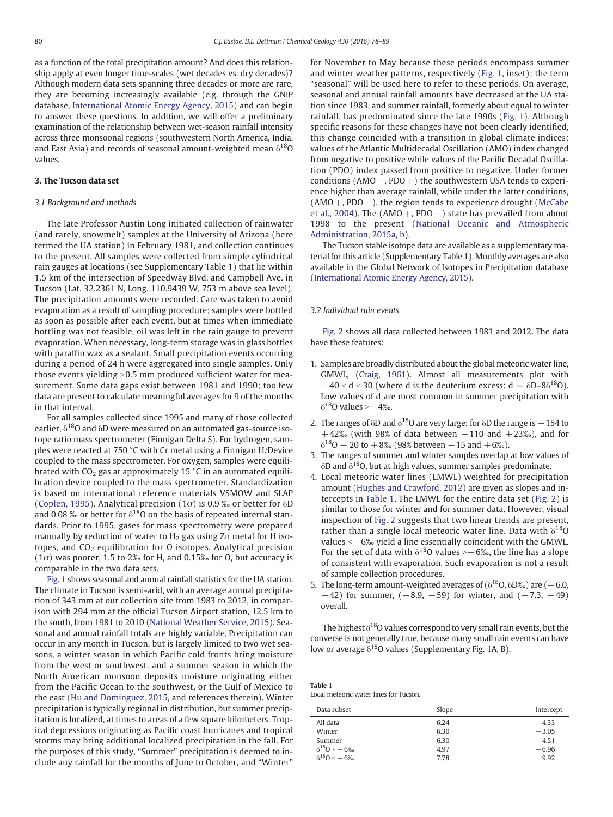<span id="page-2-0"></span>as a function of the total precipitation amount? And does this relationship apply at even longer time-scales (wet decades vs. dry decades)? Although modern data sets spanning three decades or more are rare, they are becoming increasingly available (e.g. through the GNIP database, [International Atomic Energy Agency, 2015](#page-10-0)) and can begin to answer these questions. In addition, we will offer a preliminary examination of the relationship between wet-season rainfall intensity across three monsoonal regions (southwestern North America, India, and East Asia) and records of seasonal amount-weighted mean  $\delta^{18}O$ values.

#### 3. The Tucson data set

### 3.1 Background and methods

The late Professor Austin Long initiated collection of rainwater (and rarely, snowmelt) samples at the University of Arizona (here termed the UA station) in February 1981, and collection continues to the present. All samples were collected from simple cylindrical rain gauges at locations (see Supplementary Table 1) that lie within 1.5 km of the intersection of Speedway Blvd. and Campbell Ave. in Tucson (Lat. 32.2361 N, Long. 110.9439 W, 753 m above sea level). The precipitation amounts were recorded. Care was taken to avoid evaporation as a result of sampling procedure; samples were bottled as soon as possible after each event, but at times when immediate bottling was not feasible, oil was left in the rain gauge to prevent evaporation. When necessary, long-term storage was in glass bottles with paraffin wax as a sealant. Small precipitation events occurring during a period of 24 h were aggregated into single samples. Only those events yielding  $>0.5$  mm produced sufficient water for measurement. Some data gaps exist between 1981 and 1990; too few data are present to calculate meaningful averages for 9 of the months in that interval.

For all samples collected since 1995 and many of those collected earlier,  $\delta^{18}$ O and  $\delta$ D were measured on an automated gas-source isotope ratio mass spectrometer (Finnigan Delta S). For hydrogen, samples were reacted at 750 °C with Cr metal using a Finnigan H/Device coupled to the mass spectrometer. For oxygen, samples were equilibrated with  $CO<sub>2</sub>$  gas at approximately 15  $^{\circ}$ C in an automated equilibration device coupled to the mass spectrometer. Standardization is based on international reference materials VSMOW and SLAP ([Coplen, 1995](#page-10-0)). Analytical precision (1 $\sigma$ ) is 0.9 ‰ or better for  $\delta$ D and 0.08 % or better for  $\delta^{18}$ O on the basis of repeated internal standards. Prior to 1995, gases for mass spectrometry were prepared manually by reduction of water to  $H_2$  gas using Zn metal for H isotopes, and  $CO<sub>2</sub>$  equilibration for O isotopes. Analytical precision  $(1\sigma)$  was poorer, 1.5 to 2% for H, and 0.15% for O, but accuracy is comparable in the two data sets.

[Fig. 1](#page-3-0) shows seasonal and annual rainfall statistics for the UA station. The climate in Tucson is semi-arid, with an average annual precipitation of 343 mm at our collection site from 1983 to 2012, in comparison with 294 mm at the official Tucson Airport station, 12.5 km to the south, from 1981 to 2010 ([National Weather Service, 2015\)](#page-10-0). Seasonal and annual rainfall totals are highly variable. Precipitation can occur in any month in Tucson, but is largely limited to two wet seasons, a winter season in which Pacific cold fronts bring moisture from the west or southwest, and a summer season in which the North American monsoon deposits moisture originating either from the Pacific Ocean to the southwest, or the Gulf of Mexico to the east ([Hu and Dominguez, 2015,](#page-10-0) and references therein). Winter precipitation is typically regional in distribution, but summer precipitation is localized, at times to areas of a few square kilometers. Tropical depressions originating as Pacific coast hurricanes and tropical storms may bring additional localized precipitation in the fall. For the purposes of this study, "Summer" precipitation is deemed to include any rainfall for the months of June to October, and "Winter" for November to May because these periods encompass summer and winter weather patterns, respectively ([Fig. 1](#page-3-0), inset); the term "seasonal" will be used here to refer to these periods. On average, seasonal and annual rainfall amounts have decreased at the UA station since 1983, and summer rainfall, formerly about equal to winter rainfall, has predominated since the late 1990s ([Fig. 1](#page-3-0)). Although specific reasons for these changes have not been clearly identified, this change coincided with a transition in global climate indices; values of the Atlantic Multidecadal Oscillation (AMO) index changed from negative to positive while values of the Pacific Decadal Oscillation (PDO) index passed from positive to negative. Under former conditions (AMO−, PDO+) the southwestern USA tends to experience higher than average rainfall, while under the latter conditions, (AMO+, PDO−), the region tends to experience drought [\(McCabe](#page-10-0) [et al., 2004](#page-10-0)). The (AMO+, PDO−) state has prevailed from about 1998 to the present [\(National Oceanic and Atmospheric](#page-10-0) [Administration, 2015a, b](#page-10-0)).

The Tucson stable isotope data are available as a supplementary material for this article (Supplementary Table 1). Monthly averages are also available in the Global Network of Isotopes in Precipitation database [\(International Atomic Energy Agency, 2015](#page-10-0)).

#### 3.2 Individual rain events

[Fig. 2](#page-3-0) shows all data collected between 1981 and 2012. The data have these features:

- 1. Samples are broadly distributed about the global meteoric water line, GMWL, ([Craig, 1961\)](#page-10-0). Almost all measurements plot with  $-40 < d < 30$  (where d is the deuterium excess:  $d = \delta D - 8\delta^{18}O$ ). Low values of d are most common in summer precipitation with  $\delta^{18}$ O values > $-4\%$ .
- 2. The ranges of  $\delta$ D and  $\delta^{18}$ O are very large; for  $\delta$ D the range is  $-154$  to +42‰ (with 98% of data between  $-110$  and  $+23$ ‰), and for  $\delta^{18}$ O – 20 to +8‰ (98% between – 15 and +6‰).
- 3. The ranges of summer and winter samples overlap at low values of  $\delta$ D and  $\delta$ <sup>18</sup>O, but at high values, summer samples predominate.
- 4. Local meteoric water lines (LMWL) weighted for precipitation amount ([Hughes and Crawford, 2012\)](#page-10-0) are given as slopes and intercepts in Table 1. The LMWL for the entire data set [\(Fig. 2\)](#page-3-0) is similar to those for winter and for summer data. However, visual inspection of [Fig. 2](#page-3-0) suggests that two linear trends are present, rather than a single local meteoric water line. Data with  $\delta^{18}O$ values < −6‰ yield a line essentially coincident with the GMWL. For the set of data with  $\delta^{18}$ O values >−6‰, the line has a slope of consistent with evaporation. Such evaporation is not a result of sample collection procedures.
- 5. The long-term amount-weighted averages of ( $\delta^{18}$ O,  $\delta$ D‰) are ( $-6.0$ ,  $-42$ ) for summer,  $(-8.9, -59)$  for winter, and  $(-7.3, -49)$ overall.

The highest  $\delta^{18}O$  values correspond to very small rain events, but the converse is not generally true, because many small rain events can have low or average  $\delta^{18}O$  values (Supplementary Fig. 1A, B).

Table 1 Local meteoric water lines for Tucson.

| Data subset           | Slope | Intercept |
|-----------------------|-------|-----------|
| All data              | 6.24  | $-4.33$   |
| Winter                | 6.30  | $-3.05$   |
| Summer                | 6.30  | $-4.51$   |
| $\delta^{18}O = -6\%$ | 4.97  | $-6.96$   |
| $\delta^{18}O = -6\%$ | 7.78  | 9.92      |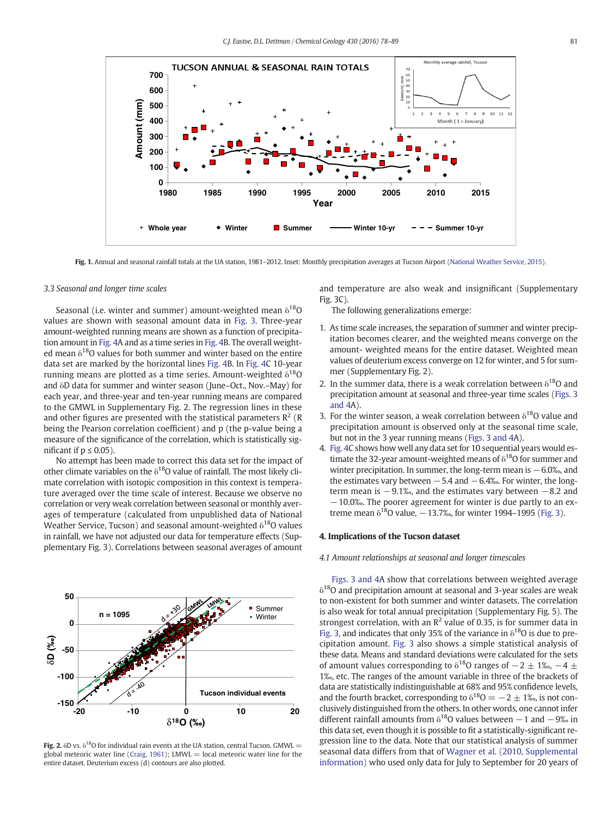<span id="page-3-0"></span>

Fig. 1. Annual and seasonal rainfall totals at the UA station, 1981–2012. Inset: Monthly precipitation averages at Tucson Airport [\(National Weather Service, 2015\)](#page-10-0).

#### 3.3 Seasonal and longer time scales

Seasonal (i.e. winter and summer) amount-weighted mean  $\delta^{18}O$ values are shown with seasonal amount data in [Fig. 3](#page-4-0). Three-year amount-weighted running means are shown as a function of precipitation amount in [Fig. 4](#page-5-0)A and as a time series in [Fig. 4](#page-5-0)B. The overall weighted mean  $\delta^{18}$ O values for both summer and winter based on the entire data set are marked by the horizontal lines [Fig. 4B](#page-5-0). In [Fig. 4](#page-5-0)C 10-year running means are plotted as a time series. Amount-weighted  $\delta^{18}O$ and δD data for summer and winter season (June–Oct., Nov.–May) for each year, and three-year and ten-year running means are compared to the GMWL in Supplementary Fig. 2. The regression lines in these and other figures are presented with the statistical parameters  $R^2$  (R being the Pearson correlation coefficient) and p (the p-value being a measure of the significance of the correlation, which is statistically significant if  $p \leq 0.05$ ).

No attempt has been made to correct this data set for the impact of other climate variables on the  $\delta^{18}$ O value of rainfall. The most likely climate correlation with isotopic composition in this context is temperature averaged over the time scale of interest. Because we observe no correlation or very weak correlation between seasonal or monthly averages of temperature (calculated from unpublished data of National Weather Service, Tucson) and seasonal amount-weighted  $\delta^{18}$ O values in rainfall, we have not adjusted our data for temperature effects (Supplementary Fig. 3). Correlations between seasonal averages of amount



Fig. 2.  $\delta$ D vs.  $\delta^{18}$ O for individual rain events at the UA station, central Tucson. GMWL = global meteoric water line [\(Craig, 1961](#page-10-0)); LMWL = local meteoric water line for the entire dataset. Deuterium excess (d) contours are also plotted.

and temperature are also weak and insignificant (Supplementary Fig. 3C).

The following generalizations emerge:

- 1. As time scale increases, the separation of summer and winter precipitation becomes clearer, and the weighted means converge on the amount- weighted means for the entire dataset. Weighted mean values of deuterium excess converge on 12 for winter, and 5 for summer (Supplementary Fig. 2).
- 2. In the summer data, there is a weak correlation between  $\delta^{18}O$  and precipitation amount at seasonal and three-year time scales [\(Figs. 3](#page-4-0) [and 4A](#page-4-0)).
- 3. For the winter season, a weak correlation between  $\delta^{18}$ O value and precipitation amount is observed only at the seasonal time scale, but not in the 3 year running means [\(Figs. 3 and 4](#page-4-0)A).
- 4. [Fig. 4C](#page-5-0) shows how well any data set for 10 sequential years would estimate the 32-year amount-weighted means of  $\delta^{18}$ O for summer and winter precipitation. In summer, the long-term mean is −6.0‰, and the estimates vary between  $-5.4$  and  $-6.4%$ . For winter, the longterm mean is  $-9.1\%$ , and the estimates vary between  $-8.2$  and −10.0‰. The poorer agreement for winter is due partly to an extreme mean  $\delta^{18}$ O value,  $-13.7%$ , for winter 1994–1995 ([Fig. 3](#page-4-0)).

#### 4. Implications of the Tucson dataset

#### 4.1 Amount relationships at seasonal and longer timescales

[Figs. 3 and 4A](#page-4-0) show that correlations between weighted average  $\delta^{18}$ O and precipitation amount at seasonal and 3-year scales are weak to non-existent for both summer and winter datasets. The correlation is also weak for total annual precipitation (Supplementary Fig. 5). The strongest correlation, with an  $\mathbb{R}^2$  value of 0.35, is for summer data in [Fig. 3](#page-4-0), and indicates that only 35% of the variance in  $\delta^{18}$ O is due to precipitation amount. [Fig. 3](#page-4-0) also shows a simple statistical analysis of these data. Means and standard deviations were calculated for the sets of amount values corresponding to  $\delta^{18}$ O ranges of  $-2\pm1\%$ ,  $-4\pm$ 1‰, etc. The ranges of the amount variable in three of the brackets of data are statistically indistinguishable at 68% and 95% confidence levels, and the fourth bracket, corresponding to  $\delta^{18}O = -2 \pm 1$ ‰, is not conclusively distinguished from the others. In other words, one cannot infer different rainfall amounts from  $\delta^{18}$ O values between −1 and −9‰ in this data set, even though it is possible to fit a statistically-significant regression line to the data. Note that our statistical analysis of summer seasonal data differs from that of [Wagner et al. \(2010, Supplemental](#page-11-0) [information\)](#page-11-0) who used only data for July to September for 20 years of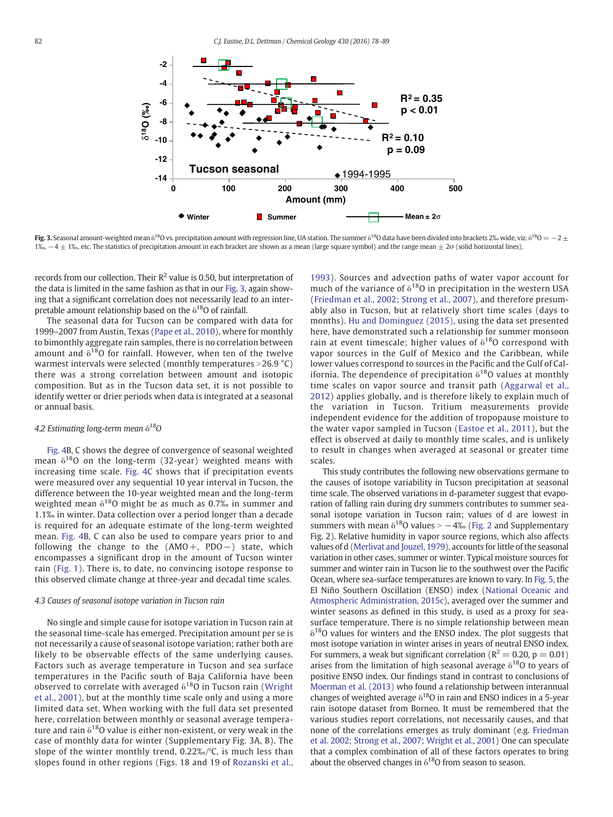<span id="page-4-0"></span>

Fig. 3. Seasonal amount-weighted mean  $\delta^{18}O$  vs. precipitation amount with regression line, UA station. The summer  $\delta^{18}O$  data have been divided into brackets 2‰ wide, viz.  $\delta^{18}O = -2 \pm$ 1‰,  $-4\pm 1$ ‰, etc. The statistics of precipitation amount in each bracket are shown as a mean (large square symbol) and the range mean  $\pm 2\sigma$  (solid horizontal lines).

records from our collection. Their  $\mathbb{R}^2$  value is 0.50, but interpretation of the data is limited in the same fashion as that in our Fig. 3, again showing that a significant correlation does not necessarily lead to an interpretable amount relationship based on the  $\delta^{18}$ O of rainfall.

The seasonal data for Tucson can be compared with data for 1999–2007 from Austin, Texas [\(Pape et al., 2010\)](#page-10-0), where for monthly to bimonthly aggregate rain samples, there is no correlation between amount and  $\delta^{18}$ O for rainfall. However, when ten of the twelve warmest intervals were selected (monthly temperatures  $>$ 26.9 °C) there was a strong correlation between amount and isotopic composition. But as in the Tucson data set, it is not possible to identify wetter or drier periods when data is integrated at a seasonal or annual basis.

#### 4.2 Estimating long-term mean  $\delta^{18}O$

[Fig. 4B](#page-5-0), C shows the degree of convergence of seasonal weighted mean  $\delta^{18}$ O on the long-term (32-year) weighted means with increasing time scale. [Fig. 4](#page-5-0)C shows that if precipitation events were measured over any sequential 10 year interval in Tucson, the difference between the 10-year weighted mean and the long-term weighted mean  $\delta^{18}$ O might be as much as 0.7% in summer and 1.1‰ in winter. Data collection over a period longer than a decade is required for an adequate estimate of the long-term weighted mean. [Fig. 4](#page-5-0)B, C can also be used to compare years prior to and following the change to the (AMO+, PDO−) state, which encompasses a significant drop in the amount of Tucson winter rain ([Fig. 1](#page-3-0)). There is, to date, no convincing isotope response to this observed climate change at three-year and decadal time scales.

#### 4.3 Causes of seasonal isotope variation in Tucson rain

No single and simple cause for isotope variation in Tucson rain at the seasonal time-scale has emerged. Precipitation amount per se is not necessarily a cause of seasonal isotope variation; rather both are likely to be observable effects of the same underlying causes. Factors such as average temperature in Tucson and sea surface temperatures in the Pacific south of Baja California have been observed to correlate with averaged  $\delta^{18}$ O in Tucson rain [\(Wright](#page-11-0) [et al., 2001\)](#page-11-0), but at the monthly time scale only and using a more limited data set. When working with the full data set presented here, correlation between monthly or seasonal average temperature and rain  $\delta^{18}$ O value is either non-existent, or very weak in the case of monthly data for winter (Supplementary Fig. 3A, B). The slope of the winter monthly trend,  $0.22\%$ ,  $\degree$ C, is much less than slopes found in other regions (Figs. 18 and 19 of [Rozanski et al.,](#page-10-0) [1993](#page-10-0)). Sources and advection paths of water vapor account for much of the variance of  $\delta^{18}$ O in precipitation in the western USA [\(Friedman et al., 2002; Strong et al., 2007](#page-10-0)), and therefore presumably also in Tucson, but at relatively short time scales (days to months). [Hu and Dominguez \(2015\),](#page-10-0) using the data set presented here, have demonstrated such a relationship for summer monsoon rain at event timescale; higher values of  $\delta^{18}$ O correspond with vapor sources in the Gulf of Mexico and the Caribbean, while lower values correspond to sources in the Pacific and the Gulf of California. The dependence of precipitation  $\delta^{18}$ O values at monthly time scales on vapor source and transit path [\(Aggarwal et al.,](#page-10-0) [2012](#page-10-0)) applies globally, and is therefore likely to explain much of the variation in Tucson. Tritium measurements provide independent evidence for the addition of tropopause moisture to the water vapor sampled in Tucson ([Eastoe et al., 2011\)](#page-10-0), but the effect is observed at daily to monthly time scales, and is unlikely to result in changes when averaged at seasonal or greater time scales.

This study contributes the following new observations germane to the causes of isotope variability in Tucson precipitation at seasonal time scale. The observed variations in d-parameter suggest that evaporation of falling rain during dry summers contributes to summer seasonal isotope variation in Tucson rain; values of d are lowest in summers with mean  $\delta^{18}$ O values >  $-4\%$  ([Fig. 2](#page-3-0) and Supplementary Fig. 2). Relative humidity in vapor source regions, which also affects values of d ([Merlivat and Jouzel, 1979](#page-10-0)), accounts for little of the seasonal variation in other cases, summer or winter. Typical moisture sources for summer and winter rain in Tucson lie to the southwest over the Pacific Ocean, where sea-surface temperatures are known to vary. In [Fig. 5,](#page-5-0) the El Niño Southern Oscillation (ENSO) index ([National Oceanic and](#page-10-0) [Atmospheric Administration, 2015c](#page-10-0)), averaged over the summer and winter seasons as defined in this study, is used as a proxy for seasurface temperature. There is no simple relationship between mean  $\delta^{18}$ O values for winters and the ENSO index. The plot suggests that most isotope variation in winter arises in years of neutral ENSO index. For summers, a weak but significant correlation ( $R^2 = 0.20$ ,  $p = 0.01$ ) arises from the limitation of high seasonal average  $\delta^{18}$ O to years of positive ENSO index. Our findings stand in contrast to conclusions of [Moerman et al. \(2013\)](#page-10-0) who found a relationship between interannual changes of weighted average  $\delta^{18}O$  in rain and ENSO indices in a 5-year rain isotope dataset from Borneo. It must be remembered that the various studies report correlations, not necessarily causes, and that none of the correlations emerges as truly dominant (e.g. [Friedman](#page-10-0) [et al. 2002; Strong et al., 2007; Wright et al., 2001\)](#page-10-0) One can speculate that a complex combination of all of these factors operates to bring about the observed changes in  $\delta^{18}$ O from season to season.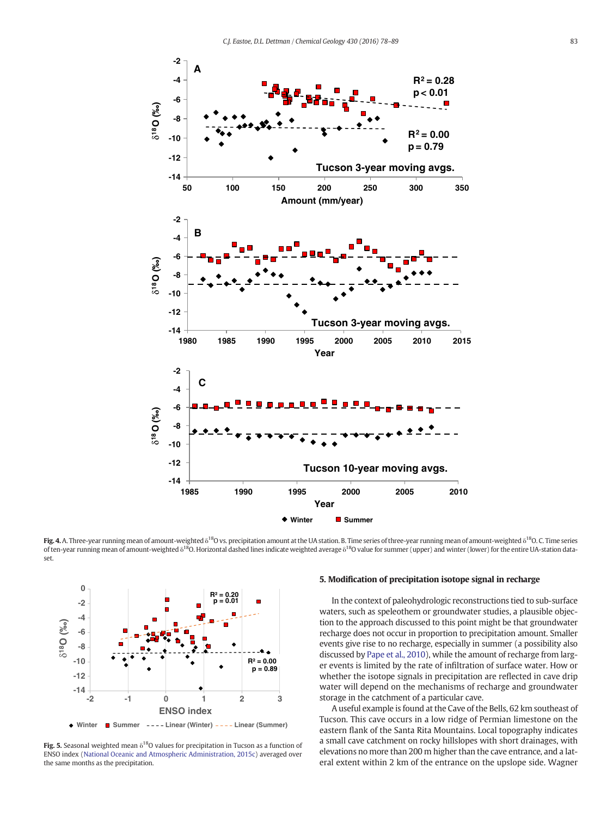<span id="page-5-0"></span>

Fig. 4. A. Three-year running mean of amount-weighted  $\delta^{18}O$  vs. precipitation amount at the UA station. B. Time series of three-year running mean of amount-weighted  $\delta^{18}O$ . C. Time series of ten-year running mean of amount-weighted δ<sup>18</sup>O. Horizontal dashed lines indicate weighted average δ<sup>18</sup>O value for summer (upper) and winter (lower) for the entire UA-station dataset.



Fig. 5. Seasonal weighted mean  $\delta^{18}O$  values for precipitation in Tucson as a function of ENSO index [\(National Oceanic and Atmospheric Administration, 2015c\)](#page-10-0) averaged over the same months as the precipitation.

#### 5. Modification of precipitation isotope signal in recharge

In the context of paleohydrologic reconstructions tied to sub-surface waters, such as speleothem or groundwater studies, a plausible objection to the approach discussed to this point might be that groundwater recharge does not occur in proportion to precipitation amount. Smaller events give rise to no recharge, especially in summer (a possibility also discussed by [Pape et al., 2010](#page-10-0)), while the amount of recharge from larger events is limited by the rate of infiltration of surface water. How or whether the isotope signals in precipitation are reflected in cave drip water will depend on the mechanisms of recharge and groundwater storage in the catchment of a particular cave.

A useful example is found at the Cave of the Bells, 62 km southeast of Tucson. This cave occurs in a low ridge of Permian limestone on the eastern flank of the Santa Rita Mountains. Local topography indicates a small cave catchment on rocky hillslopes with short drainages, with elevations no more than 200 m higher than the cave entrance, and a lateral extent within 2 km of the entrance on the upslope side. Wagner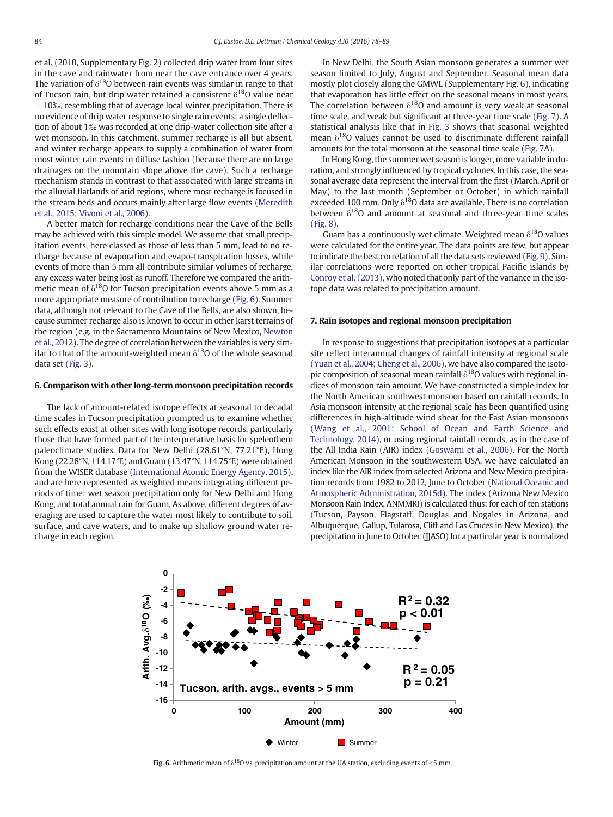et al. (2010, Supplementary Fig. 2) collected drip water from four sites in the cave and rainwater from near the cave entrance over 4 years. The variation of  $\delta^{18}$ O between rain events was similar in range to that of Tucson rain, but drip water retained a consistent  $\delta^{18}$ O value near −10‰, resembling that of average local winter precipitation. There is no evidence of drip water response to single rain events; a single deflection of about 1‰ was recorded at one drip-water collection site after a wet monsoon. In this catchment, summer recharge is all but absent, and winter recharge appears to supply a combination of water from most winter rain events in diffuse fashion (because there are no large drainages on the mountain slope above the cave). Such a recharge mechanism stands in contrast to that associated with large streams in the alluvial flatlands of arid regions, where most recharge is focused in the stream beds and occurs mainly after large flow events [\(Meredith](#page-10-0) [et al., 2015; Vivoni et al., 2006\)](#page-10-0).

A better match for recharge conditions near the Cave of the Bells may be achieved with this simple model. We assume that small precipitation events, here classed as those of less than 5 mm, lead to no recharge because of evaporation and evapo-transpiration losses, while events of more than 5 mm all contribute similar volumes of recharge, any excess water being lost as runoff. Therefore we compared the arithmetic mean of  $\delta^{18}$ O for Tucson precipitation events above 5 mm as a more appropriate measure of contribution to recharge (Fig. 6). Summer data, although not relevant to the Cave of the Bells, are also shown, because summer recharge also is known to occur in other karst terrains of the region (e.g. in the Sacramento Mountains of New Mexico, [Newton](#page-10-0) [et al., 2012](#page-10-0)). The degree of correlation between the variables is very similar to that of the amount-weighted mean  $\delta^{18}O$  of the whole seasonal data set [\(Fig. 3\)](#page-4-0).

#### 6. Comparison with other long-term monsoon precipitation records

The lack of amount-related isotope effects at seasonal to decadal time scales in Tucson precipitation prompted us to examine whether such effects exist at other sites with long isotope records, particularly those that have formed part of the interpretative basis for speleothem paleoclimate studies. Data for New Delhi (28.61°N, 77.21°E), Hong Kong (22.28°N, 114.17°E) and Guam (13.47°N, 114.75°E) were obtained from the WISER database [\(International Atomic Energy Agency, 2015\)](#page-10-0), and are here represented as weighted means integrating different periods of time: wet season precipitation only for New Delhi and Hong Kong, and total annual rain for Guam. As above, different degrees of averaging are used to capture the water most likely to contribute to soil, surface, and cave waters, and to make up shallow ground water recharge in each region.

In New Delhi, the South Asian monsoon generates a summer wet season limited to July, August and September. Seasonal mean data mostly plot closely along the GMWL (Supplementary Fig. 6), indicating that evaporation has little effect on the seasonal means in most years. The correlation between  $\delta^{18}O$  and amount is very weak at seasonal time scale, and weak but significant at three-year time scale [\(Fig. 7](#page-7-0)). A statistical analysis like that in [Fig. 3](#page-4-0) shows that seasonal weighted mean  $\delta^{18}$ O values cannot be used to discriminate different rainfall amounts for the total monsoon at the seasonal time scale [\(Fig. 7A](#page-7-0)).

In Hong Kong, the summer wet season is longer, more variable in duration, and strongly influenced by tropical cyclones. In this case, the seasonal average data represent the interval from the first (March, April or May) to the last month (September or October) in which rainfall exceeded 100 mm. Only  $\delta^{18}$ O data are available. There is no correlation between  $\delta^{18}$ O and amount at seasonal and three-year time scales [\(Fig. 8\)](#page-8-0).

Guam has a continuously wet climate. Weighted mean  $\delta^{18}$ O values were calculated for the entire year. The data points are few, but appear to indicate the best correlation of all the data sets reviewed [\(Fig. 9](#page-8-0)). Similar correlations were reported on other tropical Pacific islands by [Conroy et al. \(2013\),](#page-10-0) who noted that only part of the variance in the isotope data was related to precipitation amount.

#### 7. Rain isotopes and regional monsoon precipitation

In response to suggestions that precipitation isotopes at a particular site reflect interannual changes of rainfall intensity at regional scale [\(Yuan et al., 2004; Cheng et al., 2006](#page-11-0)), we have also compared the isotopic composition of seasonal mean rainfall  $\delta^{18}$ O values with regional indices of monsoon rain amount. We have constructed a simple index for the North American southwest monsoon based on rainfall records. In Asia monsoon intensity at the regional scale has been quantified using differences in high-altitude wind shear for the East Asian monsoons [\(Wang et al., 2001; School of Ocean and Earth Science and](#page-11-0) [Technology, 2014](#page-11-0)), or using regional rainfall records, as in the case of the All India Rain (AIR) index [\(Goswami et al., 2006\)](#page-10-0). For the North American Monsoon in the southwestern USA, we have calculated an index like the AIR index from selected Arizona and New Mexico precipita-tion records from 1982 to 2012, June to October ([National Oceanic and](#page-10-0) [Atmospheric Administration, 2015d\)](#page-10-0). The index (Arizona New Mexico Monsoon Rain Index, ANMMRI) is calculated thus: for each of ten stations (Tucson, Payson, Flagstaff, Douglas and Nogales in Arizona, and Albuquerque, Gallup, Tularosa, Cliff and Las Cruces in New Mexico), the precipitation in June to October (JJASO) for a particular year is normalized



Fig. 6. Arithmetic mean of  $\delta^{18}O$  vs. precipitation amount at the UA station, excluding events of <5 mm.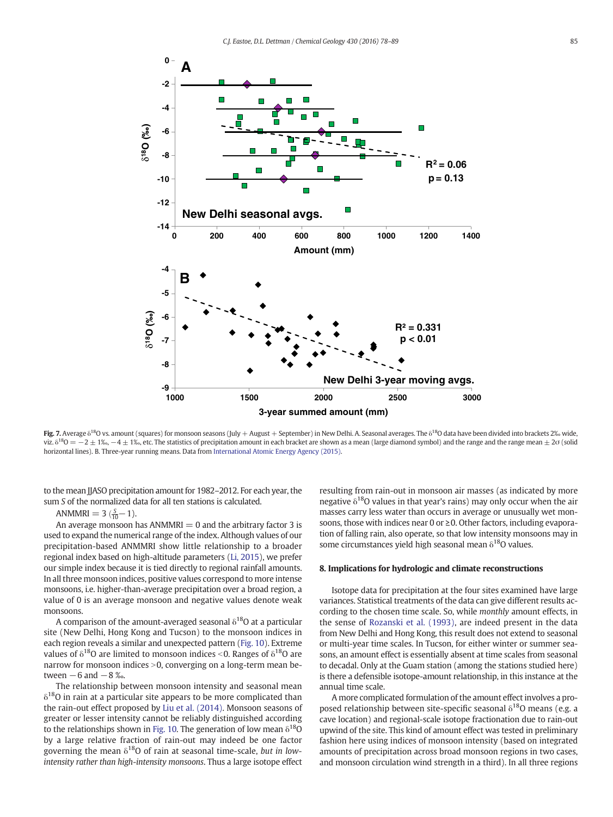<span id="page-7-0"></span>

Fig. 7. Average δ<sup>18</sup>O vs. amount (squares) for monsoon seasons (July + August + September) in New Delhi. A. Seasonal averages. The δ<sup>18</sup>O data have been divided into brackets 2‰ wide, viz.  $\delta^{18}O = -2 \pm 1\%$ ,  $-4 \pm 1\%$ , etc. The statistics of precipitation amount in each bracket are shown as a mean (large diamond symbol) and the range and the range mean  $\pm 2\sigma$  (solid horizontal lines). B. Three-year running means. Data from [International Atomic Energy Agency \(2015\)](#page-10-0).

to the mean JJASO precipitation amount for 1982–2012. For each year, the sum S of the normalized data for all ten stations is calculated.

### ANMMRI =  $3\left(\frac{S}{10}-1\right)$ .

An average monsoon has  $ANMMRI = 0$  and the arbitrary factor 3 is used to expand the numerical range of the index. Although values of our precipitation-based ANMMRI show little relationship to a broader regional index based on high-altitude parameters [\(Li, 2015\)](#page-10-0), we prefer our simple index because it is tied directly to regional rainfall amounts. In all three monsoon indices, positive values correspond to more intense monsoons, i.e. higher-than-average precipitation over a broad region, a value of 0 is an average monsoon and negative values denote weak monsoons.

A comparison of the amount-averaged seasonal  $\delta^{18}$ O at a particular site (New Delhi, Hong Kong and Tucson) to the monsoon indices in each region reveals a similar and unexpected pattern ([Fig. 10\)](#page-9-0). Extreme values of  $\delta^{18}$ O are limited to monsoon indices <0. Ranges of  $\delta^{18}$ O are narrow for monsoon indices  $>0$ , converging on a long-term mean between  $-6$  and  $-8$  ‰.

The relationship between monsoon intensity and seasonal mean  $\delta^{18}$ O in rain at a particular site appears to be more complicated than the rain-out effect proposed by [Liu et al. \(2014\)](#page-10-0). Monsoon seasons of greater or lesser intensity cannot be reliably distinguished according to the relationships shown in [Fig. 10.](#page-9-0) The generation of low mean  $\delta^{18}O$ by a large relative fraction of rain-out may indeed be one factor governing the mean  $\delta^{18}O$  of rain at seasonal time-scale, but in lowintensity rather than high-intensity monsoons. Thus a large isotope effect resulting from rain-out in monsoon air masses (as indicated by more negative  $\delta^{18}$ O values in that year's rains) may only occur when the air masses carry less water than occurs in average or unusually wet monsoons, those with indices near 0 or ≥0. Other factors, including evaporation of falling rain, also operate, so that low intensity monsoons may in some circumstances yield high seasonal mean  $\delta^{18}$ O values.

#### 8. Implications for hydrologic and climate reconstructions

Isotope data for precipitation at the four sites examined have large variances. Statistical treatments of the data can give different results according to the chosen time scale. So, while monthly amount effects, in the sense of [Rozanski et al. \(1993\),](#page-10-0) are indeed present in the data from New Delhi and Hong Kong, this result does not extend to seasonal or multi-year time scales. In Tucson, for either winter or summer seasons, an amount effect is essentially absent at time scales from seasonal to decadal. Only at the Guam station (among the stations studied here) is there a defensible isotope-amount relationship, in this instance at the annual time scale.

A more complicated formulation of the amount effect involves a proposed relationship between site-specific seasonal  $\delta^{18}$ O means (e.g. a cave location) and regional-scale isotope fractionation due to rain-out upwind of the site. This kind of amount effect was tested in preliminary fashion here using indices of monsoon intensity (based on integrated amounts of precipitation across broad monsoon regions in two cases, and monsoon circulation wind strength in a third). In all three regions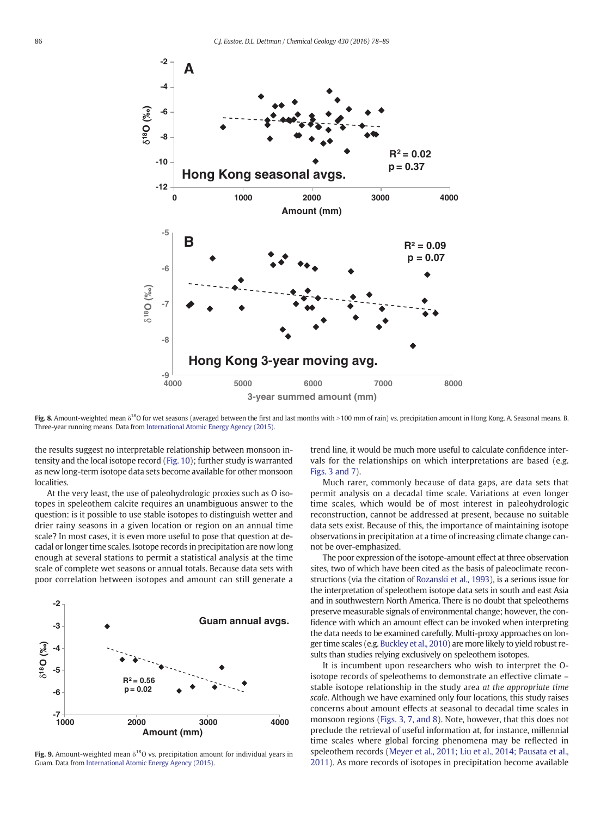<span id="page-8-0"></span>

Fig. 8. Amount-weighted mean  $\delta^{18}$ O for wet seasons (averaged between the first and last months with >100 mm of rain) vs. precipitation amount in Hong Kong. A. Seasonal means. B. Three-year running means. Data from [International Atomic Energy Agency \(2015\)](#page-10-0).

the results suggest no interpretable relationship between monsoon intensity and the local isotope record ([Fig. 10](#page-9-0)); further study is warranted as new long-term isotope data sets become available for other monsoon localities.

At the very least, the use of paleohydrologic proxies such as O isotopes in speleothem calcite requires an unambiguous answer to the question: is it possible to use stable isotopes to distinguish wetter and drier rainy seasons in a given location or region on an annual time scale? In most cases, it is even more useful to pose that question at decadal or longer time scales. Isotope records in precipitation are now long enough at several stations to permit a statistical analysis at the time scale of complete wet seasons or annual totals. Because data sets with poor correlation between isotopes and amount can still generate a



Fig. 9. Amount-weighted mean  $\delta^{18}O$  vs. precipitation amount for individual years in Guam. Data from [International Atomic Energy Agency \(2015\).](#page-10-0)

trend line, it would be much more useful to calculate confidence intervals for the relationships on which interpretations are based (e.g. [Figs. 3 and 7\)](#page-4-0).

Much rarer, commonly because of data gaps, are data sets that permit analysis on a decadal time scale. Variations at even longer time scales, which would be of most interest in paleohydrologic reconstruction, cannot be addressed at present, because no suitable data sets exist. Because of this, the importance of maintaining isotope observations in precipitation at a time of increasing climate change cannot be over-emphasized.

The poor expression of the isotope-amount effect at three observation sites, two of which have been cited as the basis of paleoclimate reconstructions (via the citation of [Rozanski et al., 1993\)](#page-10-0), is a serious issue for the interpretation of speleothem isotope data sets in south and east Asia and in southwestern North America. There is no doubt that speleothems preserve measurable signals of environmental change; however, the confidence with which an amount effect can be invoked when interpreting the data needs to be examined carefully. Multi-proxy approaches on longer time scales (e.g. [Buckley et al., 2010\)](#page-10-0) are more likely to yield robust results than studies relying exclusively on speleothem isotopes.

It is incumbent upon researchers who wish to interpret the Oisotope records of speleothems to demonstrate an effective climate – stable isotope relationship in the study area at the appropriate time scale. Although we have examined only four locations, this study raises concerns about amount effects at seasonal to decadal time scales in monsoon regions ([Figs. 3, 7, and 8](#page-4-0)). Note, however, that this does not preclude the retrieval of useful information at, for instance, millennial time scales where global forcing phenomena may be reflected in speleothem records [\(Meyer et al., 2011; Liu et al., 2014; Pausata et al.,](#page-10-0) [2011\)](#page-10-0). As more records of isotopes in precipitation become available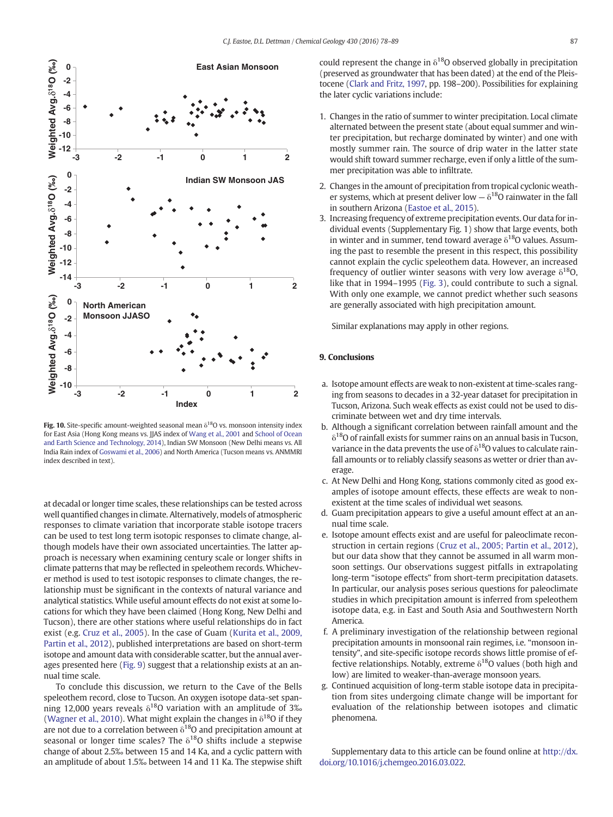<span id="page-9-0"></span>

Fig. 10. Site-specific amount-weighted seasonal mean  $\delta^{18}$ O vs. monsoon intensity index for East Asia (Hong Kong means vs. JJAS index of [Wang et al., 2001](#page-11-0) and [School of Ocean](#page-10-0) [and Earth Science and Technology, 2014\)](#page-10-0), Indian SW Monsoon (New Delhi means vs. All India Rain index of [Goswami et al., 2006](#page-10-0)) and North America (Tucson means vs. ANMMRI index described in text).

at decadal or longer time scales, these relationships can be tested across well quantified changes in climate. Alternatively, models of atmospheric responses to climate variation that incorporate stable isotope tracers can be used to test long term isotopic responses to climate change, although models have their own associated uncertainties. The latter approach is necessary when examining century scale or longer shifts in climate patterns that may be reflected in speleothem records. Whichever method is used to test isotopic responses to climate changes, the relationship must be significant in the contexts of natural variance and analytical statistics. While useful amount effects do not exist at some locations for which they have been claimed (Hong Kong, New Delhi and Tucson), there are other stations where useful relationships do in fact exist (e.g. [Cruz et al., 2005\)](#page-10-0). In the case of Guam [\(Kurita et al., 2009,](#page-10-0) [Partin et al., 2012\)](#page-10-0), published interpretations are based on short-term isotope and amount data with considerable scatter, but the annual averages presented here [\(Fig. 9](#page-8-0)) suggest that a relationship exists at an annual time scale.

To conclude this discussion, we return to the Cave of the Bells speleothem record, close to Tucson. An oxygen isotope data-set spanning 12,000 years reveals  $\delta^{18}$ O variation with an amplitude of 3‰ [\(Wagner et al., 2010\)](#page-11-0). What might explain the changes in  $\delta^{18}$ O if they are not due to a correlation between  $\delta^{18}$ O and precipitation amount at seasonal or longer time scales? The  $\delta^{18}$ O shifts include a stepwise change of about 2.5‰ between 15 and 14 Ka, and a cyclic pattern with an amplitude of about 1.5‰ between 14 and 11 Ka. The stepwise shift could represent the change in  $\delta^{18}$ O observed globally in precipitation (preserved as groundwater that has been dated) at the end of the Pleistocene ([Clark and Fritz, 1997](#page-10-0), pp. 198–200). Possibilities for explaining the later cyclic variations include:

- 1. Changes in the ratio of summer to winter precipitation. Local climate alternated between the present state (about equal summer and winter precipitation, but recharge dominated by winter) and one with mostly summer rain. The source of drip water in the latter state would shift toward summer recharge, even if only a little of the summer precipitation was able to infiltrate.
- 2. Changes in the amount of precipitation from tropical cyclonic weather systems, which at present deliver low  $-\delta^{18}O$  rainwater in the fall in southern Arizona ([Eastoe et al., 2015](#page-10-0)).
- 3. Increasing frequency of extreme precipitation events. Our data for individual events (Supplementary Fig. 1) show that large events, both in winter and in summer, tend toward average  $\delta^{18}$ O values. Assuming the past to resemble the present in this respect, this possibility cannot explain the cyclic speleothem data. However, an increased frequency of outlier winter seasons with very low average  $\delta^{18}$ O, like that in 1994–1995 [\(Fig. 3\)](#page-4-0), could contribute to such a signal. With only one example, we cannot predict whether such seasons are generally associated with high precipitation amount.

Similar explanations may apply in other regions.

#### 9. Conclusions

- a. Isotope amount effects are weak to non-existent at time-scales ranging from seasons to decades in a 32-year dataset for precipitation in Tucson, Arizona. Such weak effects as exist could not be used to discriminate between wet and dry time intervals.
- b. Although a significant correlation between rainfall amount and the  $\delta^{18}$ O of rainfall exists for summer rains on an annual basis in Tucson, variance in the data prevents the use of  $\delta^{18}$ O values to calculate rainfall amounts or to reliably classify seasons as wetter or drier than average.
- c. At New Delhi and Hong Kong, stations commonly cited as good examples of isotope amount effects, these effects are weak to nonexistent at the time scales of individual wet seasons.
- d. Guam precipitation appears to give a useful amount effect at an annual time scale.
- e. Isotope amount effects exist and are useful for paleoclimate reconstruction in certain regions ([Cruz et al., 2005; Partin et al., 2012](#page-10-0)), but our data show that they cannot be assumed in all warm monsoon settings. Our observations suggest pitfalls in extrapolating long-term "isotope effects" from short-term precipitation datasets. In particular, our analysis poses serious questions for paleoclimate studies in which precipitation amount is inferred from speleothem isotope data, e.g. in East and South Asia and Southwestern North America.
- f. A preliminary investigation of the relationship between regional precipitation amounts in monsoonal rain regimes, i.e. "monsoon intensity", and site-specific isotope records shows little promise of effective relationships. Notably, extreme  $\delta^{18}$ O values (both high and low) are limited to weaker-than-average monsoon years.
- g. Continued acquisition of long-term stable isotope data in precipitation from sites undergoing climate change will be important for evaluation of the relationship between isotopes and climatic phenomena.

Supplementary data to this article can be found online at [http://dx.](doi:10.1016/j.chemgeo.2016.03.022) [doi.org/10.1016/j.chemgeo.2016.03.022.](doi:10.1016/j.chemgeo.2016.03.022)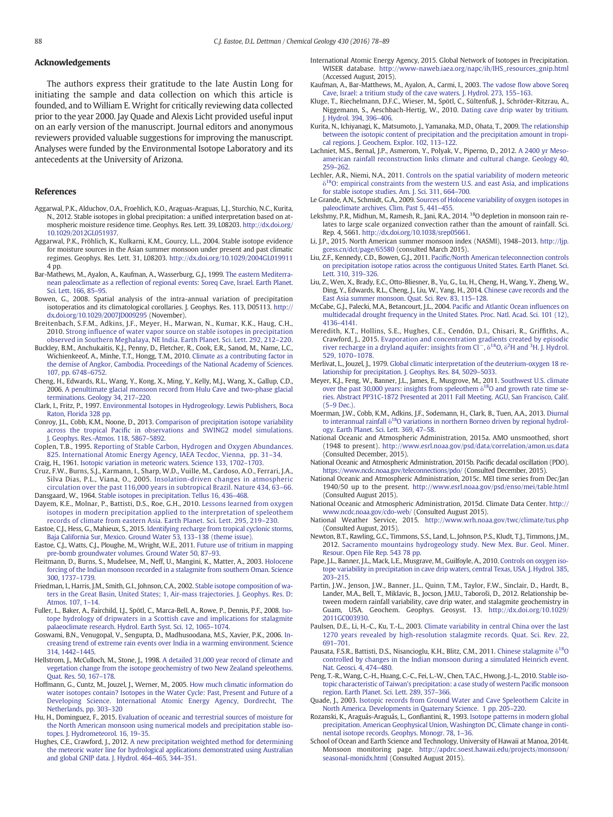#### <span id="page-10-0"></span>Acknowledgements

The authors express their gratitude to the late Austin Long for initiating the sample and data collection on which this article is founded, and to William E. Wright for critically reviewing data collected prior to the year 2000. Jay Quade and Alexis Licht provided useful input on an early version of the manuscript. Journal editors and anonymous reviewers provided valuable suggestions for improving the manuscript. Analyses were funded by the Environmental Isotope Laboratory and its antecedents at the University of Arizona.

#### References

- Aggarwal, P.K., Alduchov, O.A., Froehlich, K.O., Araguas-Araguas, L.J., Sturchio, N.C., Kurita, N., 2012. Stable isotopes in global precipitation: a unified interpretation based on atmospheric moisture residence time. Geophys. Res. Lett. 39, L08203. http://dx.doi.org/ [10.1029/2012GL051937.](http://dx.doi.org/10.1029/2012GL051937)
- Aggarwal, P.K., Fröhlich, K., Kulkarni, K.M., Gourcy, L.L., 2004. Stable isotope evidence for moisture sources in the Asian summer monsoon under present and past climatic regimes. Geophys. Res. Lett. 31, L08203. http://dx.doi.org[/10.1029/2004GL019911](http://dx.doi.org/10.1029/2004GL019911) 4 pp.
- Bar-Mathews, M., Ayalon, A., Kaufman, A., Wasserburg, G.J., 1999. [The eastern Mediterra](http://refhub.elsevier.com/S0009-2541(16)30144-9/rf0010)nean paleoclimate as a refl[ection of regional events: Soreq Cave, Israel. Earth Planet.](http://refhub.elsevier.com/S0009-2541(16)30144-9/rf0010) [Sci. Lett. 166, 85](http://refhub.elsevier.com/S0009-2541(16)30144-9/rf0010)–95.
- Bowen, G., 2008. Spatial analysis of the intra-annual variation of precipitation isotoperatios and its climatological corollaries. J. Geophys. Res. 113, D05113. http:// dx.doi.org[/10.1029/2007JD009295](http://dx.doi.org/10.1029/2007JD009295) (November).
- Breitenbach, S.F.M., Adkins, J.F., Meyer, H., Marwan, N., Kumar, K.K., Haug, C.H., 2010. Strong infl[uence of water vapor source on stable isotopes in precipitation](http://refhub.elsevier.com/S0009-2541(16)30144-9/rf0020) [observed in Southern Meghalaya, NE India. Earth Planet. Sci. Lett. 292, 212](http://refhub.elsevier.com/S0009-2541(16)30144-9/rf0020)–220.
- Buckley, B.M., Anchukaitis, K.J., Penny, D., Fletcher, R., Cook, E.R., Sanod, M., Name, L.C., Wichienkeeof, A., Minhe, T.T., Hongg, T.M., 2010. [Climate as a contributing factor in](http://refhub.elsevier.com/S0009-2541(16)30144-9/rf0025) [the demise of Angkor, Cambodia. Proceedings of the National Academy of Sciences.](http://refhub.elsevier.com/S0009-2541(16)30144-9/rf0025) [107, pp. 6748](http://refhub.elsevier.com/S0009-2541(16)30144-9/rf0025)–6752.
- Cheng, H., Edwards, R.L., Wang, Y., Kong, X., Ming, Y., Kelly, M.J., Wang, X., Gallup, C.D., 2006. [A penultimate glacial monsoon record from Hulu Cave and two-phase glacial](http://refhub.elsevier.com/S0009-2541(16)30144-9/rf0030) [terminations. Geology 34, 217](http://refhub.elsevier.com/S0009-2541(16)30144-9/rf0030)–220.
- Clark, I., Fritz, P., 1997. [Environmental Isotopes in Hydrogeology. Lewis Publishers, Boca](http://refhub.elsevier.com/S0009-2541(16)30144-9/rf0035) [Raton, Florida 328 pp.](http://refhub.elsevier.com/S0009-2541(16)30144-9/rf0035)
- Conroy, J.L., Cobb, K.M., Noone, D., 2013. [Comparison of precipitation isotope variability](http://refhub.elsevier.com/S0009-2541(16)30144-9/rf0040) across the tropical Pacifi[c in observations and SWING2 model simulations.](http://refhub.elsevier.com/S0009-2541(16)30144-9/rf0040) [J. Geophys. Res.-Atmos. 118, 5867](http://refhub.elsevier.com/S0009-2541(16)30144-9/rf0040)–5892.
- Coplen, T.B., 1995. [Reporting of Stable Carbon, Hydrogen and Oxygen Abundances.](http://refhub.elsevier.com/S0009-2541(16)30144-9/rf0045) [825. International Atomic Energy Agency, IAEA Tecdoc, Vienna, pp. 31](http://refhub.elsevier.com/S0009-2541(16)30144-9/rf0045)–34.
- Craig, H., 1961. [Isotopic variation in meteoric waters. Science 133, 1702](http://refhub.elsevier.com/S0009-2541(16)30144-9/rf0050)–1703.
- Cruz, F.W., Burns, S.J., Karmann, I., Sharp, W.D., Vuille, M., Cardoso, A.O., Ferrari, J.A., Silva Dias, P.L., Viana, O., 2005. [Insolation-driven changes in atmospheric](http://refhub.elsevier.com/S0009-2541(16)30144-9/rf0055) [circulation over the past 116,000 years in subtropical Brazil. Nature 434, 63](http://refhub.elsevier.com/S0009-2541(16)30144-9/rf0055)–66. Dansgaard, W., 1964. [Stable isotopes in precipitation. Tellus 16, 436](http://refhub.elsevier.com/S0009-2541(16)30144-9/rf0060)–468.
- Dayem, K.E., Molnar, P., Battisti, D.S., Roe, G.H., 2010. [Lessons learned from oxygen](http://refhub.elsevier.com/S0009-2541(16)30144-9/rf0065) [isotopes in modern precipitation applied to the interpretation of speleothem](http://refhub.elsevier.com/S0009-2541(16)30144-9/rf0065) [records of climate from eastern Asia. Earth Planet. Sci. Lett. 295, 219](http://refhub.elsevier.com/S0009-2541(16)30144-9/rf0065)–230.
- Eastoe, C.J., Hess, G., Mahieux, S., 2015. [Identifying recharge from tropical cyclonic storms,](http://refhub.elsevier.com/S0009-2541(16)30144-9/rf0070) [Baja California Sur, Mexico. Ground Water 53, 133](http://refhub.elsevier.com/S0009-2541(16)30144-9/rf0070)–138 (theme issue).
- Eastoe, C.J., Watts, C.J., Ploughe, M., Wright, W.E., 2011. [Future use of tritium in mapping](http://refhub.elsevier.com/S0009-2541(16)30144-9/rf0075) [pre-bomb groundwater volumes. Ground Water 50, 87](http://refhub.elsevier.com/S0009-2541(16)30144-9/rf0075)–93.
- Fleitmann, D., Burns, S., Mudelsee, M., Neff, U., Mangini, K., Matter, A., 2003. [Holocene](http://refhub.elsevier.com/S0009-2541(16)30144-9/rf0080) [forcing of the Indian monsoon recorded in a stalagmite from southern Oman. Science](http://refhub.elsevier.com/S0009-2541(16)30144-9/rf0080) [300, 1737](http://refhub.elsevier.com/S0009-2541(16)30144-9/rf0080)–1739.
- Friedman, I., Harris, J.M., Smith, G.I., Johnson, C.A., 2002. [Stable isotope composition of wa](http://refhub.elsevier.com/S0009-2541(16)30144-9/rf0085)[ters in the Great Basin, United States; 1, Air-mass trajectories. J. Geophys. Res. D:](http://refhub.elsevier.com/S0009-2541(16)30144-9/rf0085) [Atmos. 107, 1](http://refhub.elsevier.com/S0009-2541(16)30144-9/rf0085)–14.
- Fuller, L., Baker, A., Fairchild, I.J., Spötl, C., Marca-Bell, A., Rowe, P., Dennis, P.F., 2008. [Iso](http://refhub.elsevier.com/S0009-2541(16)30144-9/rf0090)[tope hydrology of dripwaters in a Scottish cave and implications for stalagmite](http://refhub.elsevier.com/S0009-2541(16)30144-9/rf0090) [palaeoclimate research. Hydrol. Earth Syst. Sci. 12, 1065](http://refhub.elsevier.com/S0009-2541(16)30144-9/rf0090)–1074.
- Goswami, B.N., Venugopal, V., Sengupta, D., Madhusoodana, M.S., Xavier, P.K., 2006. [In](http://refhub.elsevier.com/S0009-2541(16)30144-9/rf0095)[creasing trend of extreme rain events over India in a warming environment. Science](http://refhub.elsevier.com/S0009-2541(16)30144-9/rf0095) [314, 1442](http://refhub.elsevier.com/S0009-2541(16)30144-9/rf0095)–1445.
- Hellstrom, J., McCulloch, M., Stone, J., 1998. [A detailed 31,000 year record of climate and](http://refhub.elsevier.com/S0009-2541(16)30144-9/rf0100) [vegetation change from the isotope geochemistry of two New Zealand speleothems.](http://refhub.elsevier.com/S0009-2541(16)30144-9/rf0100) [Quat. Res. 50, 167](http://refhub.elsevier.com/S0009-2541(16)30144-9/rf0100)–178.
- Hoffmann, G., Cuntz, M., Jouzel, J., Werner, M., 2005. [How much climatic information do](http://refhub.elsevier.com/S0009-2541(16)30144-9/rf0105) [water isotopes contain? Isotopes in the Water Cycle: Past, Present and Future of a](http://refhub.elsevier.com/S0009-2541(16)30144-9/rf0105) [Developing Science. International Atomic Energy Agency, Dordrecht, The](http://refhub.elsevier.com/S0009-2541(16)30144-9/rf0105) [Netherlands, pp. 303](http://refhub.elsevier.com/S0009-2541(16)30144-9/rf0105)-320
- Hu, H., Dominguez, F., 2015. [Evaluation of oceanic and terrestrial sources of moisture for](http://refhub.elsevier.com/S0009-2541(16)30144-9/rf0110) [the North American monsoon using numerical models and precipitation stable iso](http://refhub.elsevier.com/S0009-2541(16)30144-9/rf0110)[topes. J. Hydrometeorol. 16, 19](http://refhub.elsevier.com/S0009-2541(16)30144-9/rf0110)–35.
- Hughes, C.E., Crawford, J., 2012. [A new precipitation weighted method for determining](http://refhub.elsevier.com/S0009-2541(16)30144-9/rf0115) [the meteoric water line for hydrological applications demonstrated using Australian](http://refhub.elsevier.com/S0009-2541(16)30144-9/rf0115) [and global GNIP data. J. Hydrol. 464](http://refhub.elsevier.com/S0009-2541(16)30144-9/rf0115)–465, 344–351.
- International Atomic Energy Agency, 2015. Global Network of Isotopes in Precipitation. WISER database. [http://www-naweb.iaea.org/napc/ih/IHS\\_resources\\_gnip.html](http://www-naweb.iaea.org/napc/ih/IHS_resources_gnip.html) (Accessed August, 2015).
- Kaufman, A., Bar-Matthews, M., Ayalon, A., Carmi, I., 2003. The vadose fl[ow above Soreq](http://refhub.elsevier.com/S0009-2541(16)30144-9/rf0125) [Cave, Israel: a tritium study of the cave waters. J. Hydrol. 273, 155](http://refhub.elsevier.com/S0009-2541(16)30144-9/rf0125)–163. Kluge, T., Riechelmann, D.F.C., Wieser, M., Spötl, C., Sültenfuß, J., Schröder-Ritzrau, A.,
- Niggemann, S., Aeschbach-Hertig, W., 2010. [Dating cave drip water by tritium.](http://refhub.elsevier.com/S0009-2541(16)30144-9/rf0130) [J. Hydrol. 394, 396](http://refhub.elsevier.com/S0009-2541(16)30144-9/rf0130)–406.
- Kurita, N., Ichiyanagi, K., Matsumoto, J., Yamanaka, M.D., Ohata, T., 2009. [The relationship](http://refhub.elsevier.com/S0009-2541(16)30144-9/rf0135) [between the isotopic content of precipitation and the precipitation amount in tropi](http://refhub.elsevier.com/S0009-2541(16)30144-9/rf0135)[cal regions. J. Geochem. Explor. 102, 113](http://refhub.elsevier.com/S0009-2541(16)30144-9/rf0135)–122.
- Lachniet, M.S., Bernal, J.P., Asmerom, Y., Polyak, V., Piperno, D., 2012. [A 2400 yr Meso](http://refhub.elsevier.com/S0009-2541(16)30144-9/rf0140)[american rainfall reconstruction links climate and cultural change. Geology 40,](http://refhub.elsevier.com/S0009-2541(16)30144-9/rf0140) 259–[262.](http://refhub.elsevier.com/S0009-2541(16)30144-9/rf0140)
- Lechler, A.R., Niemi, N.A., 2011. [Controls on the spatial variability of modern meteoric](http://refhub.elsevier.com/S0009-2541(16)30144-9/rf0145)  $80:$  empirical constraints from the western U.S. and east Asia, and implications [for stable isotope studies. Am. J. Sci. 311, 664](http://refhub.elsevier.com/S0009-2541(16)30144-9/rf0145)–700.
- Le Grande, A.N., Schmidt, G.A., 2009. [Sources of Holocene variability of oxygen isotopes in](http://refhub.elsevier.com/S0009-2541(16)30144-9/rf0150) [paleoclimate archives. Clim. Past 5, 441](http://refhub.elsevier.com/S0009-2541(16)30144-9/rf0150)–455.
- Lekshmy, P.R., Midhun, M., Ramesh, R., Jani, R.A., 2014. 18O depletion in monsoon rain relates to large scale organized convection rather than the amount of rainfall. Sci. Rep. 4, 5661. http://dx.doi.org/[10.1038/srep05661.](http://dx.doi.org/10.1038/srep05661)
- Li, J.P., 2015. North American summer monsoon index (NASMI), 1948–2013. [http://ljp.](http://ljp.gcess.cn/dct/page/65580) [gcess.cn/dct/page/65580](http://ljp.gcess.cn/dct/page/65580) (consulted March 2015).
- Liu, Z.F., Kennedy, C.D., Bowen, G.J., 2011. Pacifi[c/North American teleconnection controls](http://refhub.elsevier.com/S0009-2541(16)30144-9/rf0165) [on precipitation isotope ratios across the contiguous United States. Earth Planet. Sci.](http://refhub.elsevier.com/S0009-2541(16)30144-9/rf0165) [Lett. 310, 319](http://refhub.elsevier.com/S0009-2541(16)30144-9/rf0165)–326.
- Liu, Z., Wen, X., Brady, E.C., Otto-Bliesner, B., Yu, G., Lu, H., Cheng, H., Wang, Y., Zheng, W., Ding, Y., Edwards, R.L., Cheng, J., Liu, W., Yang, H., 2014. [Chinese cave records and the](http://refhub.elsevier.com/S0009-2541(16)30144-9/rf0170) [East Asia summer monsoon. Quat. Sci. Rev. 83, 115](http://refhub.elsevier.com/S0009-2541(16)30144-9/rf0170)–128.
- McCabe, G.J., Palecki, M.A., Betancourt, J.L., 2004. Pacifi[c and Atlantic Ocean in](http://refhub.elsevier.com/S0009-2541(16)30144-9/rf0175)fluences on [multidecadal drought frequency in the United States. Proc. Natl. Acad. Sci. 101 \(12\),](http://refhub.elsevier.com/S0009-2541(16)30144-9/rf0175) 4136–[4141.](http://refhub.elsevier.com/S0009-2541(16)30144-9/rf0175)
- Meredith, K.T., Hollins, S.E., Hughes, C.E., Cendón, D.I., Chisari, R., Griffiths, A., Crawford, J., 2015. [Evaporation and concentration gradients created by episodic](http://refhub.elsevier.com/S0009-2541(16)30144-9/rf0180) [river](http://refhub.elsevier.com/S0009-2541(16)30144-9/rf0180) [recharge](http://refhub.elsevier.com/S0009-2541(16)30144-9/rf0180) [in](http://refhub.elsevier.com/S0009-2541(16)30144-9/rf0180) [a](http://refhub.elsevier.com/S0009-2541(16)30144-9/rf0180) [dryland](http://refhub.elsevier.com/S0009-2541(16)30144-9/rf0180) [aquifer:](http://refhub.elsevier.com/S0009-2541(16)30144-9/rf0180) [insights](http://refhub.elsevier.com/S0009-2541(16)30144-9/rf0180) [from](http://refhub.elsevier.com/S0009-2541(16)30144-9/rf0180)  $Cl^ Cl^-$ ,  $\delta^{18}O$ ,  $\delta^2H$  $\delta^2H$  [and](http://refhub.elsevier.com/S0009-2541(16)30144-9/rf0180)  $^3H$ . J. Hydrol. [529, 1070](http://refhub.elsevier.com/S0009-2541(16)30144-9/rf0180)–1078.
- Merlivat, L., Jouzel, J., 1979. [Global climatic interpretation of the deuterium-oxygen 18 re](http://refhub.elsevier.com/S0009-2541(16)30144-9/rf0185)[lationship for precipitation. J. Geophys. Res. 84, 5029](http://refhub.elsevier.com/S0009-2541(16)30144-9/rf0185)–5033.
- Meyer, K.J., Feng, W., Banner, J.L., James, E., Musgrove, M., 2011. [Southwest U.S. climate](http://refhub.elsevier.com/S0009-2541(16)30144-9/rf0190) [over](http://refhub.elsevier.com/S0009-2541(16)30144-9/rf0190) [the](http://refhub.elsevier.com/S0009-2541(16)30144-9/rf0190) [past](http://refhub.elsevier.com/S0009-2541(16)30144-9/rf0190) [30,000](http://refhub.elsevier.com/S0009-2541(16)30144-9/rf0190) [years:](http://refhub.elsevier.com/S0009-2541(16)30144-9/rf0190) [insights](http://refhub.elsevier.com/S0009-2541(16)30144-9/rf0190) [from](http://refhub.elsevier.com/S0009-2541(16)30144-9/rf0190) [speleothem](http://refhub.elsevier.com/S0009-2541(16)30144-9/rf0190)  $\delta^{18}$ O and growth rate time se[ries. Abstract PP31C-1872 Presented at 2011 Fall Meeting. AGU, San Francisco, Calif.](http://refhub.elsevier.com/S0009-2541(16)30144-9/rf0190) (5–[9 Dec.\).](http://refhub.elsevier.com/S0009-2541(16)30144-9/rf0190)
- Moerman, J.W., Cobb, K.M., Adkins, J.F., Sodemann, H., Clark, B., Tuen, A.A., 2013. [Diurnal](http://refhub.elsevier.com/S0009-2541(16)30144-9/rf0195) [to](http://refhub.elsevier.com/S0009-2541(16)30144-9/rf0195) [interannual](http://refhub.elsevier.com/S0009-2541(16)30144-9/rf0195) [rainfall](http://refhub.elsevier.com/S0009-2541(16)30144-9/rf0195)  $\delta^{18}$ [O variations in northern Borneo driven by regional hydrol](http://refhub.elsevier.com/S0009-2541(16)30144-9/rf0195)[ogy. Earth Planet. Sci. Lett. 369, 47](http://refhub.elsevier.com/S0009-2541(16)30144-9/rf0195)–58.
- National Oceanic and Atmospheric Administration, 2015a. AMO unsmoothed, short (1948 to present). <http://www.esrl.noaa.gov/psd/data/correlation/amon.us.data> (Consulted December, 2015).
- National Oceanic and Atmospheric Administration, 2015b. Pacific decadal oscillation (PDO). <https://www.ncdc.noaa.gov/teleconnections/pdo/> (Consulted December, 2015).
- National Oceanic and Atmospheric Administration, 2015c. MEI time series from Dec/Jan 1940/50 up to the present. <http://www.esrl.noaa.gov/psd/enso/mei/table.html> (Consulted August 2015).
- National Oceanic and Atmospheric Administration, 2015d. Climate Data Center. [http://](http://www.ncdc.noaa.gov/cdo-web/) [www.ncdc.noaa.gov/cdo-web/](http://www.ncdc.noaa.gov/cdo-web/) (Consulted August 2015).
- National Weather Service, 2015. <http://www.wrh.noaa.gov/twc/climate/tus.php> (Consulted August, 2015).
- Newton, B.T., Rawling, G.C., Timmons, S.S., Land, L., Johnson, P.S., Kludt, T.J., Timmons, J.M., 2012. [Sacramento mountains hydrogeology study. New Mex. Bur. Geol. Miner.](http://refhub.elsevier.com/S0009-2541(16)30144-9/rf0225) [Resour. Open File Rep. 543 78 pp](http://refhub.elsevier.com/S0009-2541(16)30144-9/rf0225).
- Pape, J.L., Banner, J.L., Mack, L.E., Musgrave, M., Guilfoyle, A., 2010. [Controls on oxygen iso](http://refhub.elsevier.com/S0009-2541(16)30144-9/rf0230)[tope variability in precipitation in cave drip waters, central Texas, USA. J. Hydrol. 385,](http://refhub.elsevier.com/S0009-2541(16)30144-9/rf0230) 203–[215.](http://refhub.elsevier.com/S0009-2541(16)30144-9/rf0230)
- Partin, J.W., Jenson, J.W., Banner, J.L., Quinn, T.M., Taylor, F.W., Sinclair, D., Hardt, B., Lander, M.A., Bell, T., Miklavic, B., Jocson, J.M.U., Taboroši, D., 2012. Relationship between modern rainfall variability, cave drip water, and stalagmite geochemistry in Guam, USA. Geochem. Geophys. Geosyst. 13. http://dx.doi.org/[10.1029/](http://dx.doi.org/10.1029/2011GC003930) [2011GC003930](http://dx.doi.org/10.1029/2011GC003930).
- Paulsen, D.E., Li, H.-C., Ku, T.-L., 2003. [Climate variability in central China over the last](http://refhub.elsevier.com/S0009-2541(16)30144-9/rf0240) [1270 years revealed by high-resolution stalagmite records. Quat. Sci. Rev. 22,](http://refhub.elsevier.com/S0009-2541(16)30144-9/rf0240) 691–[701.](http://refhub.elsevier.com/S0009-2541(16)30144-9/rf0240)
- Pausata, F.S.R., Battisti, D.S., Nisancioglu, K.H., Blitz, C.M., 2011. [Chinese](http://refhub.elsevier.com/S0009-2541(16)30144-9/rf0245) [stalagmite](http://refhub.elsevier.com/S0009-2541(16)30144-9/rf0245)  $\delta^{18}O$ [controlled by changes in the Indian monsoon during a simulated Heinrich event.](http://refhub.elsevier.com/S0009-2541(16)30144-9/rf0245) [Nat. Geosci. 4, 474](http://refhub.elsevier.com/S0009-2541(16)30144-9/rf0245)–480.
- Peng, T.-R., Wang, C.-H., Huang, C.-C., Fei, L.-W., Chen, T.A.C., Hwong, J.-L., 2010. [Stable iso](http://refhub.elsevier.com/S0009-2541(16)30144-9/rf0250)[topic characteristic of Taiwan's precipitation: a case study of western Paci](http://refhub.elsevier.com/S0009-2541(16)30144-9/rf0250)fic monsoon [region. Earth Planet. Sci. Lett. 289, 357](http://refhub.elsevier.com/S0009-2541(16)30144-9/rf0250)–366.
- Quade, J., 2003. [Isotopic records from Ground Water and Cave Speleothem Calcite in](http://refhub.elsevier.com/S0009-2541(16)30144-9/rf0255) [North America. Developments in Quaternary Science. 1 pp. 205](http://refhub.elsevier.com/S0009-2541(16)30144-9/rf0255)–220.
- Rozanski, K., Araguás-Araguás, L., Gonfiantini, R., 1993. [Isotope patterns in modern global](http://refhub.elsevier.com/S0009-2541(16)30144-9/rf0260) [precipitation. American Geophysical Union, Washington DC, Climate change in conti](http://refhub.elsevier.com/S0009-2541(16)30144-9/rf0260)[nental isotope records. Geophys. Monogr. 78, 1](http://refhub.elsevier.com/S0009-2541(16)30144-9/rf0260)–36.
- School of Ocean and Earth Science and Technology, University of Hawaii at Manoa, 2014t. Monsoon monitoring page. [http://apdrc.soest.hawaii.edu/projects/monsoon/](http://apdrc.soest.hawaii.edu/projects/monsoon/seasonal-monidx.html) [seasonal-monidx.html](http://apdrc.soest.hawaii.edu/projects/monsoon/seasonal-monidx.html) (Consulted August 2015).